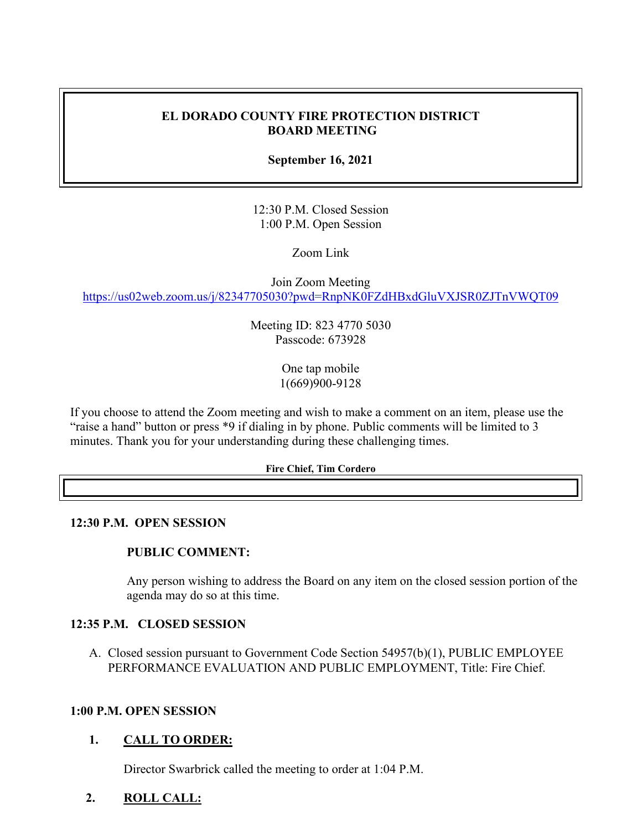# **EL DORADO COUNTY FIRE PROTECTION DISTRICT BOARD MEETING**

**September 16, 2021**

12:30 P.M. Closed Session 1:00 P.M. Open Session

Zoom Link

Join Zoom Meeting <https://us02web.zoom.us/j/82347705030?pwd=RnpNK0FZdHBxdGluVXJSR0ZJTnVWQT09>

> Meeting ID: 823 4770 5030 Passcode: 673928

> > One tap mobile 1(669)900-9128

If you choose to attend the Zoom meeting and wish to make a comment on an item, please use the "raise a hand" button or press \*9 if dialing in by phone. Public comments will be limited to 3 minutes. Thank you for your understanding during these challenging times.

#### **Fire Chief, Tim Cordero**

#### **12:30 P.M. OPEN SESSION**

# **PUBLIC COMMENT:**

Any person wishing to address the Board on any item on the closed session portion of the agenda may do so at this time.

#### **12:35 P.M. CLOSED SESSION**

A. Closed session pursuant to Government Code Section 54957(b)(1), PUBLIC EMPLOYEE PERFORMANCE EVALUATION AND PUBLIC EMPLOYMENT, Title: Fire Chief.

# **1:00 P.M. OPEN SESSION**

# **1. CALL TO ORDER:**

Director Swarbrick called the meeting to order at 1:04 P.M.

# **2. ROLL CALL:**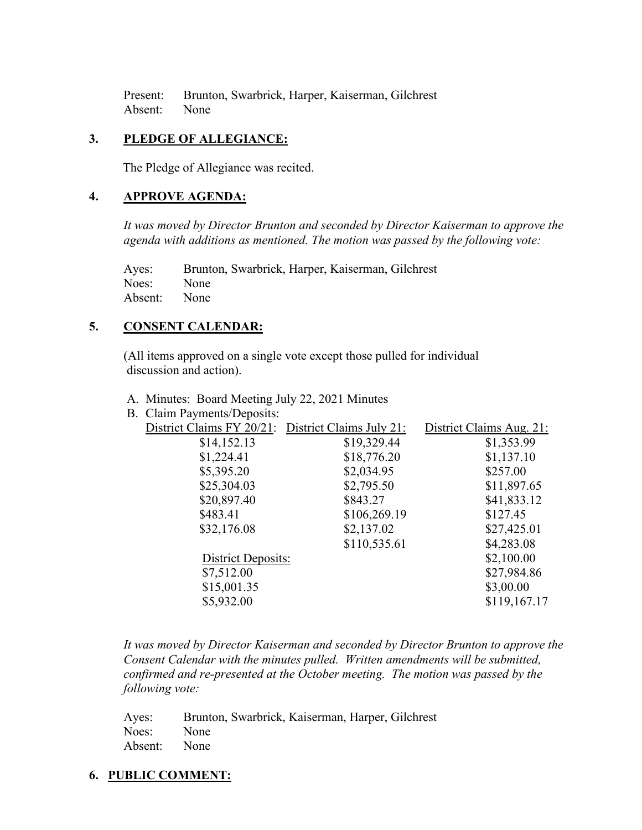Present: Brunton, Swarbrick, Harper, Kaiserman, Gilchrest Absent: None

# **3. PLEDGE OF ALLEGIANCE:**

The Pledge of Allegiance was recited.

# **4. APPROVE AGENDA:**

*It was moved by Director Brunton and seconded by Director Kaiserman to approve the agenda with additions as mentioned. The motion was passed by the following vote:*

Ayes: Brunton, Swarbrick, Harper, Kaiserman, Gilchrest Noes: None Absent: None

# **5. CONSENT CALENDAR:**

 (All items approved on a single vote except those pulled for individual discussion and action).

- A. Minutes: Board Meeting July 22, 2021 Minutes
- B. Claim Payments/Deposits:

| District Claims FY 20/21: District Claims July 21: |              | District Claims Aug. 21: |
|----------------------------------------------------|--------------|--------------------------|
| \$14,152.13                                        | \$19,329.44  | \$1,353.99               |
| \$1,224.41                                         | \$18,776.20  | \$1,137.10               |
| \$5,395.20                                         | \$2,034.95   | \$257.00                 |
| \$25,304.03                                        | \$2,795.50   | \$11,897.65              |
| \$20,897.40                                        | \$843.27     | \$41,833.12              |
| \$483.41                                           | \$106,269.19 | \$127.45                 |
| \$32,176.08                                        | \$2,137.02   | \$27,425.01              |
|                                                    | \$110,535.61 | \$4,283.08               |
| District Deposits:                                 |              | \$2,100.00               |
| \$7,512.00                                         |              | \$27,984.86              |
| \$15,001.35                                        |              | \$3,00.00                |
| \$5,932.00                                         |              | \$119,167.17             |
|                                                    |              |                          |

*It was moved by Director Kaiserman and seconded by Director Brunton to approve the Consent Calendar with the minutes pulled. Written amendments will be submitted, confirmed and re-presented at the October meeting. The motion was passed by the following vote:*

|              | Ayes: Brunton, Swarbrick, Kaiserman, Harper, Gilchrest |
|--------------|--------------------------------------------------------|
| Noes: None   |                                                        |
| Absent: None |                                                        |

# **6. PUBLIC COMMENT:**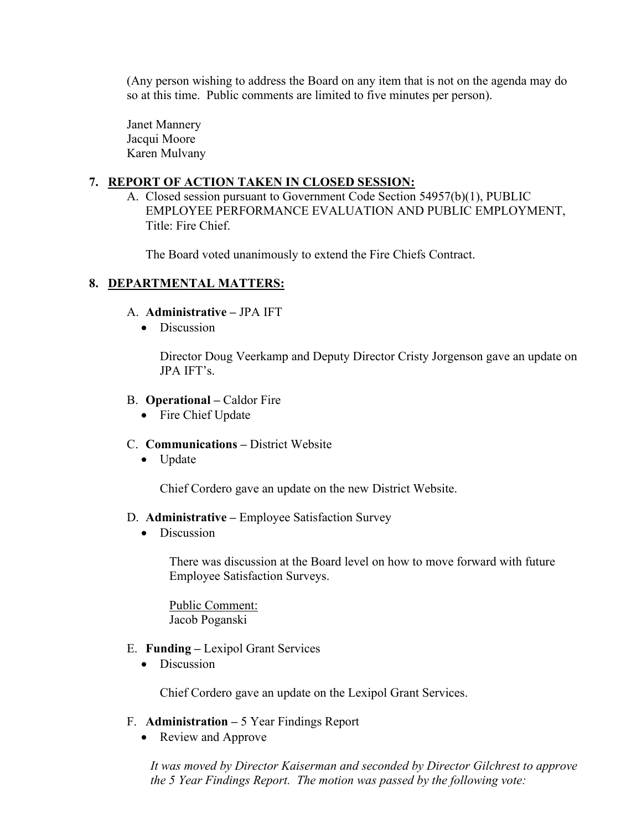(Any person wishing to address the Board on any item that is not on the agenda may do so at this time. Public comments are limited to five minutes per person).

Janet Mannery Jacqui Moore Karen Mulvany

# **7. REPORT OF ACTION TAKEN IN CLOSED SESSION:**

A. Closed session pursuant to Government Code Section 54957(b)(1), PUBLIC EMPLOYEE PERFORMANCE EVALUATION AND PUBLIC EMPLOYMENT, Title: Fire Chief.

The Board voted unanimously to extend the Fire Chiefs Contract.

# **8. DEPARTMENTAL MATTERS:**

- A. **Administrative –** JPA IFT
	- Discussion

Director Doug Veerkamp and Deputy Director Cristy Jorgenson gave an update on JPA IFT's.

- B. **Operational –** Caldor Fire
	- Fire Chief Update
- C. **Communications –** District Website
	- Update

Chief Cordero gave an update on the new District Website.

#### D. **Administrative –** Employee Satisfaction Survey

• Discussion

There was discussion at the Board level on how to move forward with future Employee Satisfaction Surveys.

Public Comment: Jacob Poganski

- E. **Funding –** Lexipol Grant Services
	- Discussion

Chief Cordero gave an update on the Lexipol Grant Services.

- F. **Administration –** 5 Year Findings Report
	- Review and Approve

*It was moved by Director Kaiserman and seconded by Director Gilchrest to approve the 5 Year Findings Report. The motion was passed by the following vote:*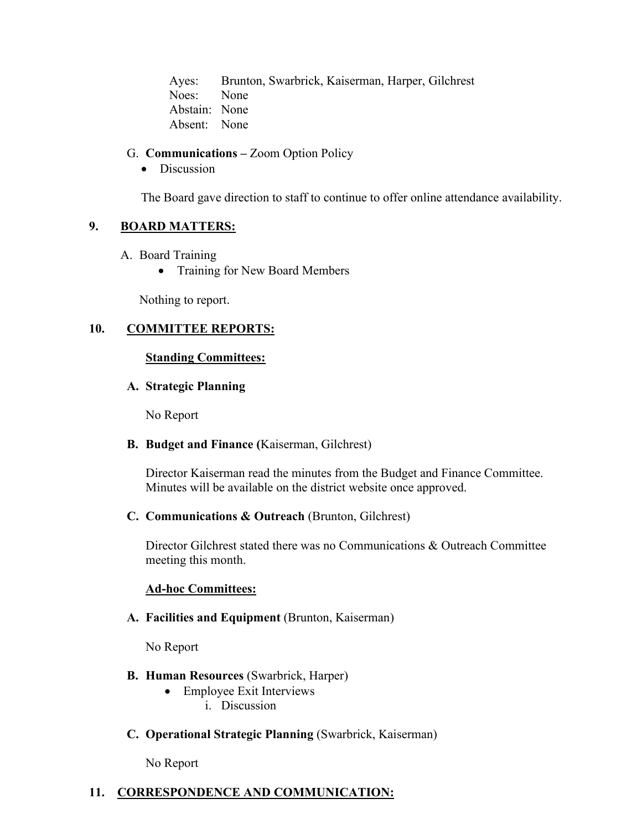Ayes: Brunton, Swarbrick, Kaiserman, Harper, Gilchrest Noes: None Abstain: None Absent: None

# G. **Communications –** Zoom Option Policy

#### • Discussion

The Board gave direction to staff to continue to offer online attendance availability.

# **9. BOARD MATTERS:**

- A. Board Training
	- Training for New Board Members

Nothing to report.

# **10. COMMITTEE REPORTS:**

# **Standing Committees:**

# **A. Strategic Planning**

No Report

# **B. Budget and Finance (**Kaiserman, Gilchrest)

Director Kaiserman read the minutes from the Budget and Finance Committee. Minutes will be available on the district website once approved.

# **C. Communications & Outreach** (Brunton, Gilchrest)

Director Gilchrest stated there was no Communications & Outreach Committee meeting this month.

# **Ad-hoc Committees:**

# **A. Facilities and Equipment** (Brunton, Kaiserman)

No Report

# **B. Human Resources** (Swarbrick, Harper)

- Employee Exit Interviews
	- i. Discussion
- **C. Operational Strategic Planning** (Swarbrick, Kaiserman)

No Report

# **11. CORRESPONDENCE AND COMMUNICATION:**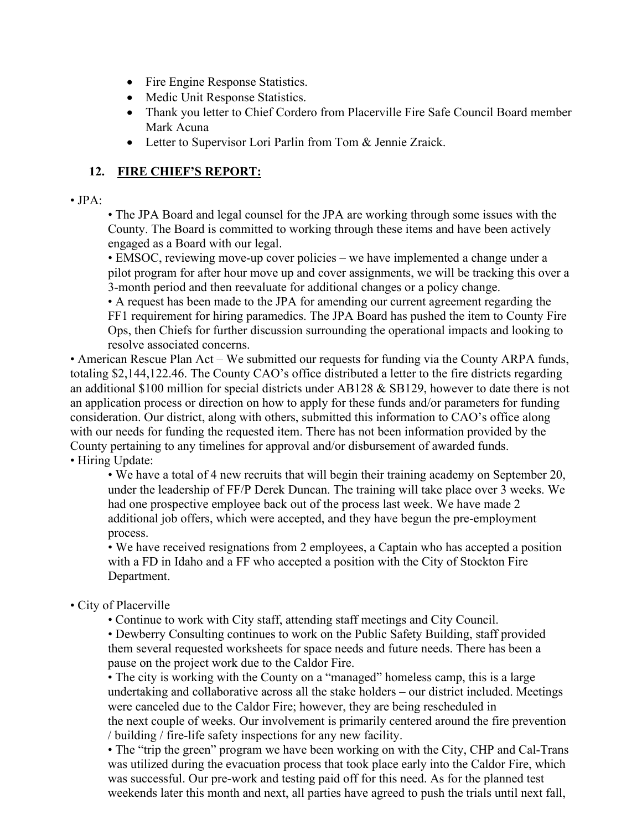- Fire Engine Response Statistics.
- Medic Unit Response Statistics.
- Thank you letter to Chief Cordero from Placerville Fire Safe Council Board member Mark Acuna
- Letter to Supervisor Lori Parlin from Tom & Jennie Zraick.

# **12. FIRE CHIEF'S REPORT:**

# • JPA:

• The JPA Board and legal counsel for the JPA are working through some issues with the County. The Board is committed to working through these items and have been actively engaged as a Board with our legal.

• EMSOC, reviewing move-up cover policies – we have implemented a change under a pilot program for after hour move up and cover assignments, we will be tracking this over a 3-month period and then reevaluate for additional changes or a policy change.

• A request has been made to the JPA for amending our current agreement regarding the FF1 requirement for hiring paramedics. The JPA Board has pushed the item to County Fire Ops, then Chiefs for further discussion surrounding the operational impacts and looking to resolve associated concerns.

• American Rescue Plan Act – We submitted our requests for funding via the County ARPA funds, totaling \$2,144,122.46. The County CAO's office distributed a letter to the fire districts regarding an additional \$100 million for special districts under AB128 & SB129, however to date there is not an application process or direction on how to apply for these funds and/or parameters for funding consideration. Our district, along with others, submitted this information to CAO's office along with our needs for funding the requested item. There has not been information provided by the County pertaining to any timelines for approval and/or disbursement of awarded funds. • Hiring Update:

• We have a total of 4 new recruits that will begin their training academy on September 20, under the leadership of FF/P Derek Duncan. The training will take place over 3 weeks. We had one prospective employee back out of the process last week. We have made 2 additional job offers, which were accepted, and they have begun the pre-employment process.

• We have received resignations from 2 employees, a Captain who has accepted a position with a FD in Idaho and a FF who accepted a position with the City of Stockton Fire Department.

# • City of Placerville

• Continue to work with City staff, attending staff meetings and City Council.

• Dewberry Consulting continues to work on the Public Safety Building, staff provided them several requested worksheets for space needs and future needs. There has been a pause on the project work due to the Caldor Fire.

• The city is working with the County on a "managed" homeless camp, this is a large undertaking and collaborative across all the stake holders – our district included. Meetings were canceled due to the Caldor Fire; however, they are being rescheduled in the next couple of weeks. Our involvement is primarily centered around the fire prevention / building / fire-life safety inspections for any new facility.

• The "trip the green" program we have been working on with the City, CHP and Cal-Trans was utilized during the evacuation process that took place early into the Caldor Fire, which was successful. Our pre-work and testing paid off for this need. As for the planned test weekends later this month and next, all parties have agreed to push the trials until next fall,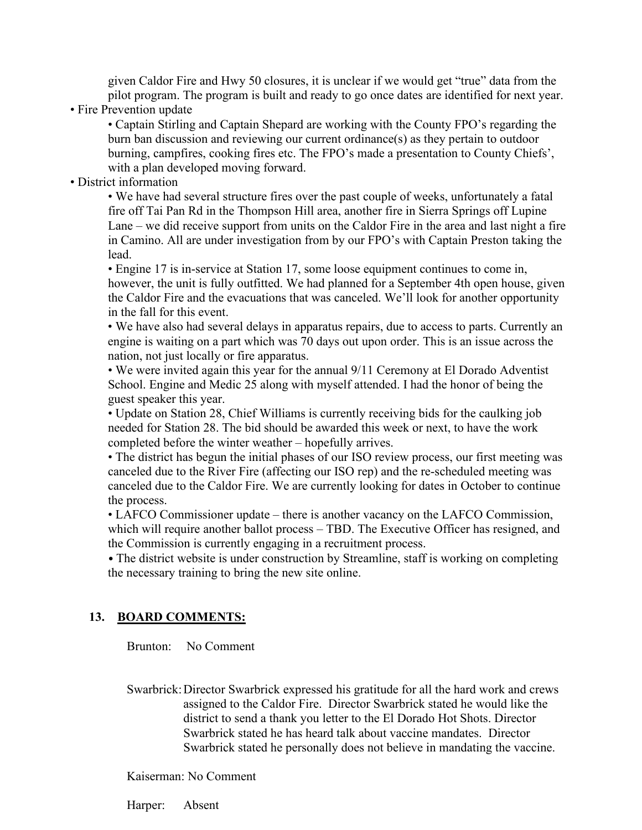given Caldor Fire and Hwy 50 closures, it is unclear if we would get "true" data from the pilot program. The program is built and ready to go once dates are identified for next year.

• Fire Prevention update

• Captain Stirling and Captain Shepard are working with the County FPO's regarding the burn ban discussion and reviewing our current ordinance(s) as they pertain to outdoor burning, campfires, cooking fires etc. The FPO's made a presentation to County Chiefs', with a plan developed moving forward.

• District information

• We have had several structure fires over the past couple of weeks, unfortunately a fatal fire off Tai Pan Rd in the Thompson Hill area, another fire in Sierra Springs off Lupine Lane – we did receive support from units on the Caldor Fire in the area and last night a fire in Camino. All are under investigation from by our FPO's with Captain Preston taking the lead.

• Engine 17 is in-service at Station 17, some loose equipment continues to come in, however, the unit is fully outfitted. We had planned for a September 4th open house, given the Caldor Fire and the evacuations that was canceled. We'll look for another opportunity in the fall for this event.

• We have also had several delays in apparatus repairs, due to access to parts. Currently an engine is waiting on a part which was 70 days out upon order. This is an issue across the nation, not just locally or fire apparatus.

• We were invited again this year for the annual 9/11 Ceremony at El Dorado Adventist School. Engine and Medic 25 along with myself attended. I had the honor of being the guest speaker this year.

• Update on Station 28, Chief Williams is currently receiving bids for the caulking job needed for Station 28. The bid should be awarded this week or next, to have the work completed before the winter weather – hopefully arrives.

• The district has begun the initial phases of our ISO review process, our first meeting was canceled due to the River Fire (affecting our ISO rep) and the re-scheduled meeting was canceled due to the Caldor Fire. We are currently looking for dates in October to continue the process.

• LAFCO Commissioner update – there is another vacancy on the LAFCO Commission, which will require another ballot process – TBD. The Executive Officer has resigned, and the Commission is currently engaging in a recruitment process.

• The district website is under construction by Streamline, staff is working on completing the necessary training to bring the new site online.

# **13. BOARD COMMENTS:**

Brunton: No Comment

 Swarbrick:Director Swarbrick expressed his gratitude for all the hard work and crews assigned to the Caldor Fire. Director Swarbrick stated he would like the district to send a thank you letter to the El Dorado Hot Shots. Director Swarbrick stated he has heard talk about vaccine mandates. Director Swarbrick stated he personally does not believe in mandating the vaccine.

Kaiserman: No Comment

Harper: Absent